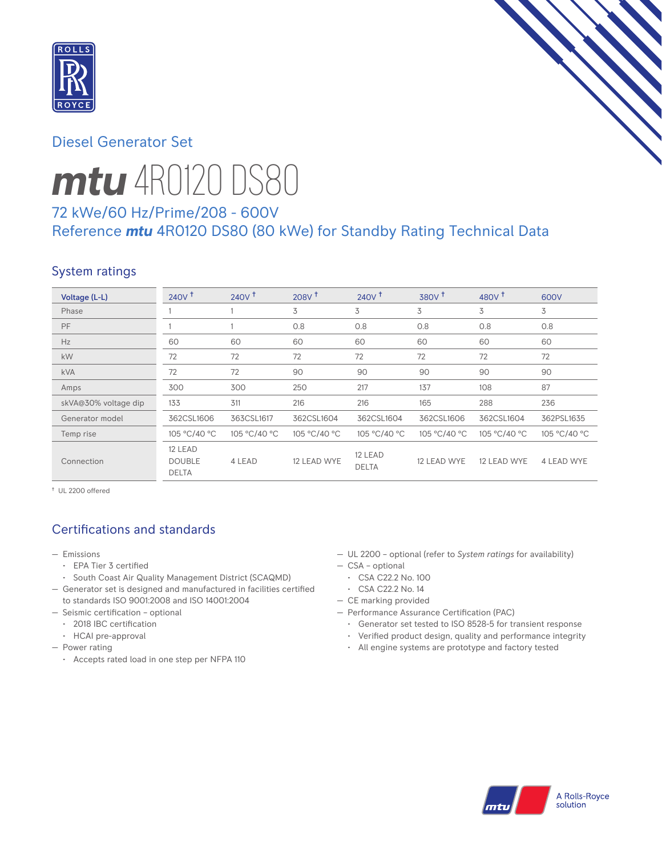

# Diesel Generator Set



# *mtu* 4R0120 DS80

# 72 kWe/60 Hz/Prime/208 - 600V Reference *mtu* 4R0120 DS80 (80 kWe) for Standby Rating Technical Data

# System ratings

| Voltage (L-L)        | 240V <sup>†</sup>                        | 240V <sup>†</sup> | $208V$ <sup>+</sup> | 240V <sup>†</sup>       | 380V <sup>†</sup> | 480 $V†$     | 600V         |
|----------------------|------------------------------------------|-------------------|---------------------|-------------------------|-------------------|--------------|--------------|
| Phase                |                                          |                   | 3                   | 3                       | 3                 | 3            | 3            |
| PF                   |                                          |                   | 0.8                 | 0.8                     | 0.8               | 0.8          | 0.8          |
| Hz                   | 60                                       | 60                | 60                  | 60                      | 60                | 60           | 60           |
| kW                   | 72                                       | 72                | 72                  | 72                      | 72                | 72           | 72           |
| <b>kVA</b>           | 72                                       | 72                | 90                  | 90                      | 90                | 90           | 90           |
| Amps                 | 300                                      | 300               | 250                 | 217                     | 137               | 108          | 87           |
| skVA@30% voltage dip | 133                                      | 311               | 216                 | 216                     | 165               | 288          | 236          |
| Generator model      | 362CSL1606                               | 363CSL1617        | 362CSL1604          | 362CSL1604              | 362CSL1606        | 362CSL1604   | 362PSL1635   |
| Temp rise            | 105 °C/40 °C                             | 105 °C/40 °C      | 105 °C/40 °C        | 105 °C/40 °C            | 105 °C/40 °C      | 105 °C/40 °C | 105 °C/40 °C |
| Connection           | 12 LEAD<br><b>DOUBLE</b><br><b>DELTA</b> | 4 LEAD            | 12 LEAD WYE         | 12 LEAD<br><b>DELTA</b> | 12 LEAD WYE       | 12 LEAD WYE  | 4 LEAD WYE   |

† UL 2200 offered

# Certifications and standards

- Emissions
	- EPA Tier 3 certified
	- South Coast Air Quality Management District (SCAQMD)
- Generator set is designed and manufactured in facilities certified to standards ISO 9001:2008 and ISO 14001:2004
- Seismic certification optional
	- 2018 IBC certification
	- HCAI pre-approval
- Power rating
	- Accepts rated load in one step per NFPA 110
- UL 2200 optional (refer to *System ratings* for availability)
- CSA optional
- CSA C22.2 No. 100
- CSA C22.2 No. 14
- CE marking provided
- Performance Assurance Certification (PAC)
	- Generator set tested to ISO 8528-5 for transient response
	- Verified product design, quality and performance integrity
	- All engine systems are prototype and factory tested

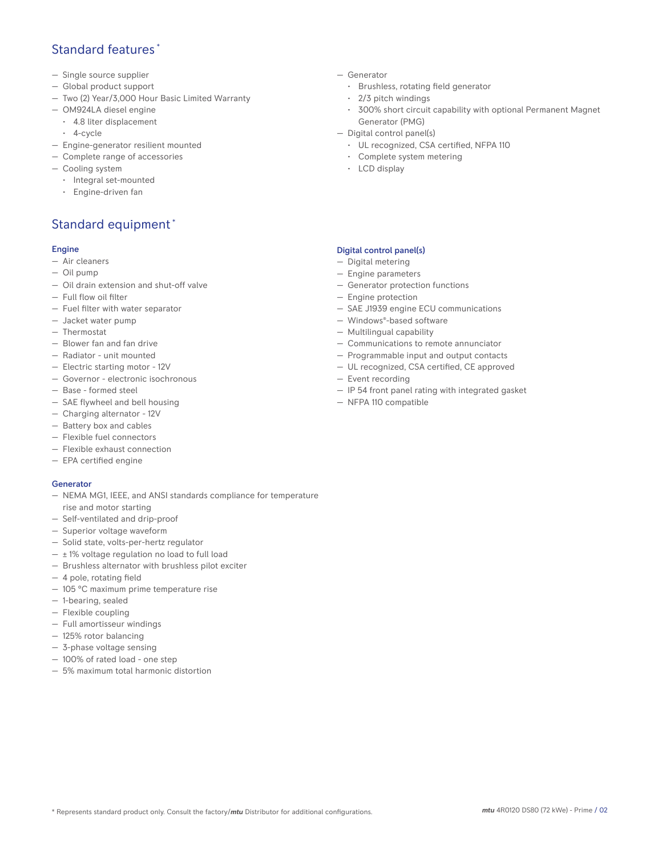## Standard features \*

- Single source supplier
- Global product support
- Two (2) Year/3,000 Hour Basic Limited Warranty
- OM924LA diesel engine
	- 4.8 liter displacement
	- 4-cycle
- Engine-generator resilient mounted
- Complete range of accessories
- Cooling system
	- Integral set-mounted
	- Engine-driven fan

# Standard equipment \*

#### Engine

- Air cleaners
- Oil pump
- Oil drain extension and shut-off valve
- Full flow oil filter
- Fuel filter with water separator
- Jacket water pump
- Thermostat
- Blower fan and fan drive
- Radiator unit mounted
- Electric starting motor 12V
- Governor electronic isochronous
- Base formed steel
- SAE flywheel and bell housing
- Charging alternator 12V
- Battery box and cables
- Flexible fuel connectors
- Flexible exhaust connection
- EPA certified engine

#### Generator

- NEMA MG1, IEEE, and ANSI standards compliance for temperature rise and motor starting
- Self-ventilated and drip-proof
- Superior voltage waveform
- Solid state, volts-per-hertz regulator
- $\pm$  1% voltage regulation no load to full load
- Brushless alternator with brushless pilot exciter
- 4 pole, rotating field
- 105 °C maximum prime temperature rise
- 1-bearing, sealed
- Flexible coupling
- Full amortisseur windings
- 125% rotor balancing
- 3-phase voltage sensing
- 100% of rated load one step
- 5% maximum total harmonic distortion
- Generator
	- Brushless, rotating field generator
	- 2/3 pitch windings
	- 300% short circuit capability with optional Permanent Magnet Generator (PMG)
- Digital control panel(s)
	- UL recognized, CSA certified, NFPA 110
	- Complete system metering
	- LCD display

#### Digital control panel(s)

- Digital metering
- Engine parameters
- Generator protection functions
- Engine protection
- SAE J1939 engine ECU communications
- Windows®-based software
- Multilingual capability
- Communications to remote annunciator
- Programmable input and output contacts
- UL recognized, CSA certified, CE approved
- Event recording
- IP 54 front panel rating with integrated gasket
- NFPA 110 compatible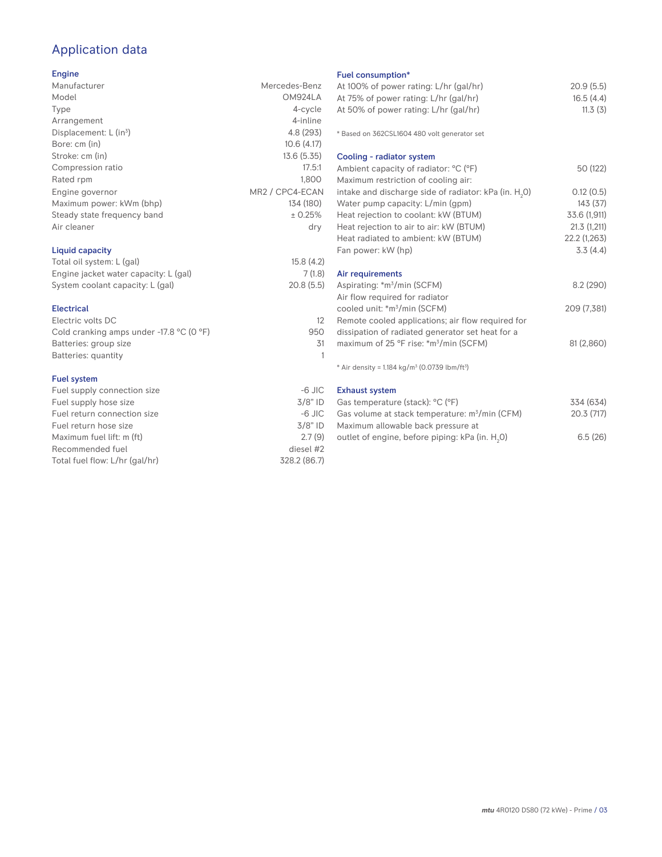# Application data

### Engine

| Manufacturer                         | Mercedes-Benz                            |
|--------------------------------------|------------------------------------------|
| Model                                | OM924LA                                  |
| Type                                 | 4-cycle                                  |
| Arrangement                          | 4-inline                                 |
| Displacement: $L$ (in <sup>3</sup> ) | 4.8 (293)                                |
| Bore: cm (in)                        | 10.6(4.17)                               |
| Stroke: cm (in)                      | 13.6 (5.35)                              |
| Compression ratio                    | 17.5:1                                   |
| Rated rpm                            | 1,800                                    |
| Engine governor                      | MR <sub>2</sub> / CPC <sub>4</sub> -ECAN |
| Maximum power: kWm (bhp)             | 134 (180)                                |
| Steady state frequency band          | ± 0.25%                                  |
| Air cleaner                          | dry                                      |
| Liquid capacity                      |                                          |

## Total oil system: L (gal) 15.8 (4.2) Engine jacket water capacity: L (gal) 7 (1.8)<br>System coolant capacity: L (gal) 20.8 (5.5) System coolant capacity: L (gal)

#### Electrical Electric volts DC 12 Cold cranking amps under -17.8 °C (0 °F) 950 Batteries: group size 31 Batteries: quantity 1

#### Fuel system

| Fuel supply connection size    | $-6$ JIC     |
|--------------------------------|--------------|
| Fuel supply hose size          | $3/8"$ ID    |
| Fuel return connection size    | $-6$ JIC     |
| Fuel return hose size          | $3/8"$ ID    |
| Maximum fuel lift: m (ft)      | 2.7(9)       |
| Recommended fuel               | diesel #2    |
| Total fuel flow: L/hr (gal/hr) | 328.2 (86.7) |

## Fuel consumption\*

| <b>FUBL CONSUMPTION</b>                                                 |              |
|-------------------------------------------------------------------------|--------------|
| At 100% of power rating: L/hr (gal/hr)                                  | 20.9(5.5)    |
| At 75% of power rating: L/hr (gal/hr)                                   | 16.5(4.4)    |
| At 50% of power rating: L/hr (gal/hr)                                   | 11.3(3)      |
|                                                                         |              |
| * Based on 362CSL1604 480 volt generator set                            |              |
| Cooling - radiator system                                               |              |
|                                                                         | 50 (122)     |
| Ambient capacity of radiator: °C (°F)                                   |              |
| Maximum restriction of cooling air:                                     |              |
| intake and discharge side of radiator: kPa (in. $H_2O$ )                | 0.12(0.5)    |
| Water pump capacity: L/min (gpm)                                        | 143(37)      |
| Heat rejection to coolant: kW (BTUM)                                    | 33.6 (1,911) |
| Heat rejection to air to air: kW (BTUM)                                 | 21.3(1,211)  |
| Heat radiated to ambient: kW (BTUM)                                     | 22.2 (1,263) |
| Fan power: kW (hp)                                                      | 3.3(4.4)     |
| Air requirements                                                        |              |
| Aspirating: *m <sup>3</sup> /min (SCFM)                                 | 8.2(290)     |
| Air flow required for radiator                                          |              |
| cooled unit: *m <sup>3</sup> /min (SCFM)                                | 209 (7,381)  |
| Remote cooled applications; air flow required for                       |              |
|                                                                         |              |
| dissipation of radiated generator set heat for a                        |              |
| maximum of 25 °F rise: *m <sup>3</sup> /min (SCFM)                      | 81 (2,860)   |
| * Air density = $1.184$ kg/m <sup>3</sup> (0.0739 lbm/ft <sup>3</sup> ) |              |
| <b>Exhaust system</b>                                                   |              |
| $G_2$ c tamperature (stack) <sup>, o</sup> C ( $0$ E)                   | ZZA (GZA)    |

| Gas temperature (stack): °C (°F)                            | 334 (634) |
|-------------------------------------------------------------|-----------|
| Gas volume at stack temperature: m <sup>3</sup> /min (CFM)  | 20.3(717) |
| Maximum allowable back pressure at                          |           |
| outlet of engine, before piping: kPa (in. H <sub>2</sub> O) | 6.5(26)   |
|                                                             |           |